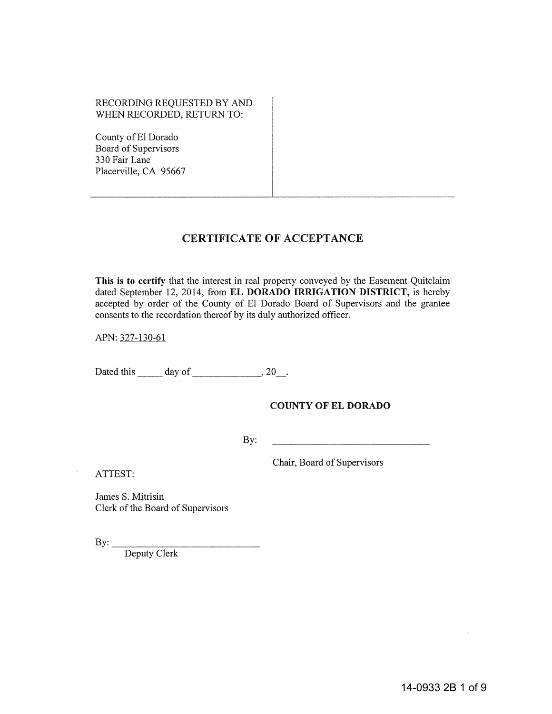## RECORDING REQUESTED BY AND WHEN RECORDED, RETURN TO:

County of EI Dorado Board of Supervisors 330 Fair Lane Placerville, CA 95667

# CERTIFICATE OF ACCEPTANCE

This is to certify that the interest in real property conveyed by the Easement Quitclaim dated September 12, 2014, from EL DORADO IRRIGATION DISTRICT, is hereby accepted by order of the County of EI Dorado Board of Supervisors and the grantee consents to the recordation thereof by its duly authorized officer.

APN: 327-130-61

Dated this  $\_\_\_\_\$  day of  $\_\_\_\_\_\$ , 20 $\_\_\_\$ .

## COUNTY OF EL DORADO

By:

Chair, Board of Supervisors

ATTEST:

James S. Mitrisin Clerk of the Board of Supervisors

By:  $\_\_$ 

Deputy Clerk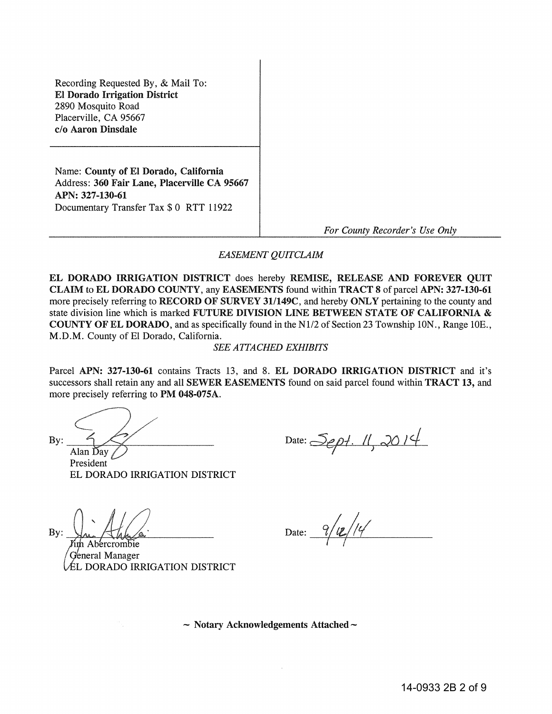Recording Requested By, & Mail To: EI Dorado Irrigation District 2890 Mosquito Road Placerville, CA 95667 c/o Aaron Dinsdale

Name: County of El Dorado, California Address: 360 Fair Lane, Placerville CA 95667 APN: 327-130-61 Documentary Transfer Tax \$ 0 RTT 11922

*For County Recorder's Use Only* 

### *EASEMENT QUITCLAIM*

EL DORADO IRRIGATION DISTRICT does hereby REMISE, RELEASE AND FOREVER QUIT CLAIM to EL DORADO COUNTY, any EASEMENTS found within TRACT 8 of parcel APN: 327-130-61 more precisely referring to RECORD OF SURVEY 31/149C, and hereby ONLY pertaining to the county and state division line which is marked FUTURE DIVISION LINE BETWEEN STATE OF CALIFORNIA & COUNTY OF EL DORADO, and as specifically found in the NI/2 of Section 23 Township ION., Range 10E., M.D.M. County of El Dorado, California.

#### *SEE ATTACHED EXHIBITS*

Parcel APN: 327-130-61 contains Tracts 13, and 8. EL DORADO IRRIGATION DISTRICT and it's successors shall retain any and all SEWER EASEMENTS found on said parcel found within TRACT 13, and more precisely referring to PM 048-075A.

 $\mathcal{L}$ 

President EL DORADO IRRIGATION DISTRICT

Date: Sept. 11, 2014

 $Bv:$ 

Date:  $9/12/14$ 

th Abercrombie General Manager ÉL DORADO IRRIGATION DISTRICT

 $\sim$  Notary Acknowledgements Attached  $\sim$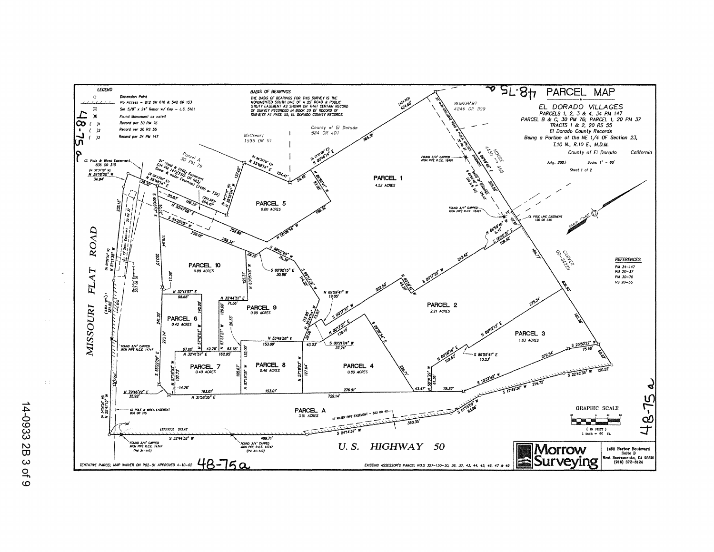

14-0933 2B 3  $\mathsf{Q}_\mathsf{t}$  $\circ$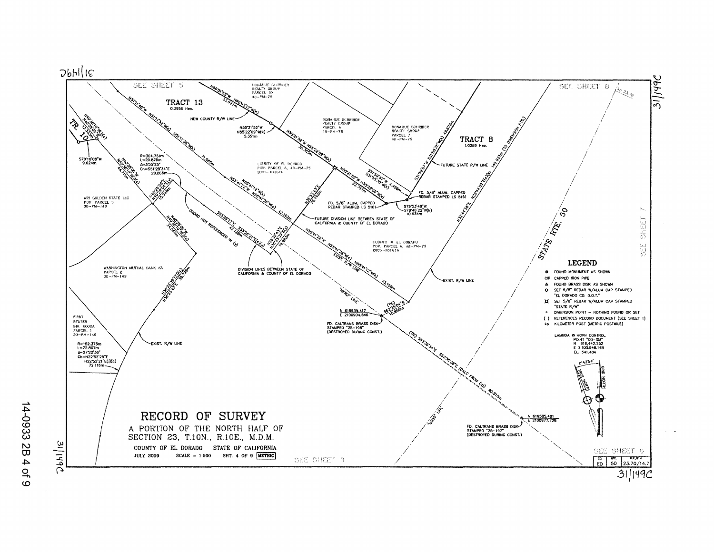

14-0933 2B 4 of 9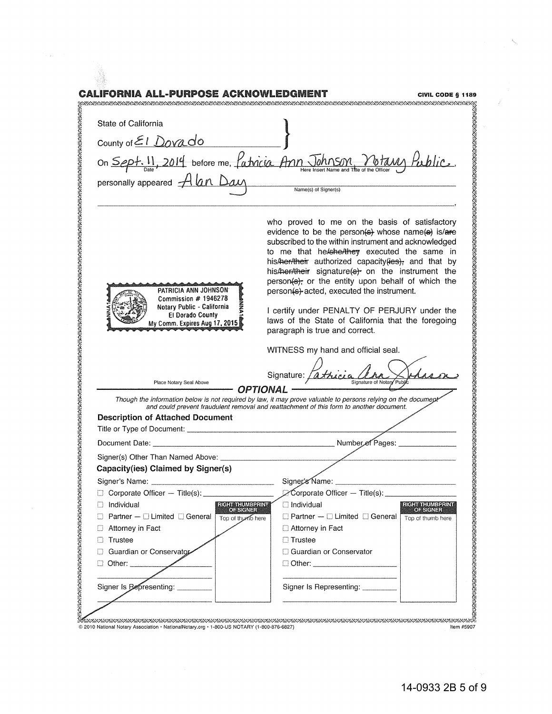|                                                                                                                                                              | CALIFORNIA ALL-PURPOSE ACKNOWLEDGMENT<br>CIVIL CODE § 1189                                                                                                                                                                                                                                                                                                                                                                                                                                                                                                                                                                                        |
|--------------------------------------------------------------------------------------------------------------------------------------------------------------|---------------------------------------------------------------------------------------------------------------------------------------------------------------------------------------------------------------------------------------------------------------------------------------------------------------------------------------------------------------------------------------------------------------------------------------------------------------------------------------------------------------------------------------------------------------------------------------------------------------------------------------------------|
| State of California                                                                                                                                          |                                                                                                                                                                                                                                                                                                                                                                                                                                                                                                                                                                                                                                                   |
| County of $E1$ Dovado                                                                                                                                        |                                                                                                                                                                                                                                                                                                                                                                                                                                                                                                                                                                                                                                                   |
|                                                                                                                                                              | on Sept. 11, 2014 before me, fatricia Ann Johnson Votavy Public.<br>Name(s) of Signer(s)                                                                                                                                                                                                                                                                                                                                                                                                                                                                                                                                                          |
| PATRICIA ANN JOHNSON<br>Commission $#$ 1946278<br>Notary Public - California<br>El Dorado County<br>My Comm. Expires Aug 17, 2015<br>Place Notary Seal Above | who proved to me on the basis of satisfactory<br>evidence to be the person(s) whose name(s) is/are<br>subscribed to the within instrument and acknowledged<br>to me that he/she/they executed the same in<br>his/her/their authorized capacity(ies); and that by<br>his/her/their signature(s) on the instrument the<br>person(s), or the entity upon behalf of which the<br>person(s) acted, executed the instrument.<br>I certify under PENALTY OF PERJURY under the<br>laws of the State of California that the foregoing<br>paragraph is true and correct.<br>WITNESS my hand and official seal.<br>Signature: [athicia<br>Signature of Notar |
|                                                                                                                                                              | <b>OPTIONAL</b><br>Though the information below is not required by law, it may prove valuable to persons relying on the documept<br>and could prevent fraudulent removal and reattachment of this form to another document.                                                                                                                                                                                                                                                                                                                                                                                                                       |
| <b>Description of Attached Document</b>                                                                                                                      |                                                                                                                                                                                                                                                                                                                                                                                                                                                                                                                                                                                                                                                   |
| Document Date:                                                                                                                                               | Number of Pages:                                                                                                                                                                                                                                                                                                                                                                                                                                                                                                                                                                                                                                  |
| Signer(s) Other Than Named Above:                                                                                                                            |                                                                                                                                                                                                                                                                                                                                                                                                                                                                                                                                                                                                                                                   |
| Capacity(ies) Claimed by Signer(s)                                                                                                                           |                                                                                                                                                                                                                                                                                                                                                                                                                                                                                                                                                                                                                                                   |
| Signer's Name: Williams and Signer's Name:                                                                                                                   |                                                                                                                                                                                                                                                                                                                                                                                                                                                                                                                                                                                                                                                   |
| Corporate Officer - Title(s):                                                                                                                                | Corporate Officer - Title(s):                                                                                                                                                                                                                                                                                                                                                                                                                                                                                                                                                                                                                     |
| <b>RIGHT THUMBERING</b><br>$\Box$ Individual<br><b>OF SIGNER</b>                                                                                             | $\Box$ Individual<br><b>RIGHT THUMBERINT</b><br><b>OF SIGNER</b>                                                                                                                                                                                                                                                                                                                                                                                                                                                                                                                                                                                  |
| $\Box$ Partner – $\Box$ Limited $\Box$ General<br>Top of thumb here                                                                                          | $\Box$ Partner $-\Box$ Limited $\Box$ General<br>Top of thumb here                                                                                                                                                                                                                                                                                                                                                                                                                                                                                                                                                                                |
| $\Box$ Attorney in Fact                                                                                                                                      | $\Box$ Attorney in Fact                                                                                                                                                                                                                                                                                                                                                                                                                                                                                                                                                                                                                           |
| Trustee<br>$\perp$                                                                                                                                           | $\Box$ Trustee                                                                                                                                                                                                                                                                                                                                                                                                                                                                                                                                                                                                                                    |
| Guardian or Conservator                                                                                                                                      | Guardian or Conservator                                                                                                                                                                                                                                                                                                                                                                                                                                                                                                                                                                                                                           |
| $\Box$ Other: _________                                                                                                                                      | □ Other: _______________________                                                                                                                                                                                                                                                                                                                                                                                                                                                                                                                                                                                                                  |
|                                                                                                                                                              |                                                                                                                                                                                                                                                                                                                                                                                                                                                                                                                                                                                                                                                   |

MEXIER EXERCITION Material Contract Communication of CONDITIONS (1-800-876-6827)<br>© 2010 National Notary Association • NationalNotary.org • 1-800-US NOTARY (1-800-876-6827) 

7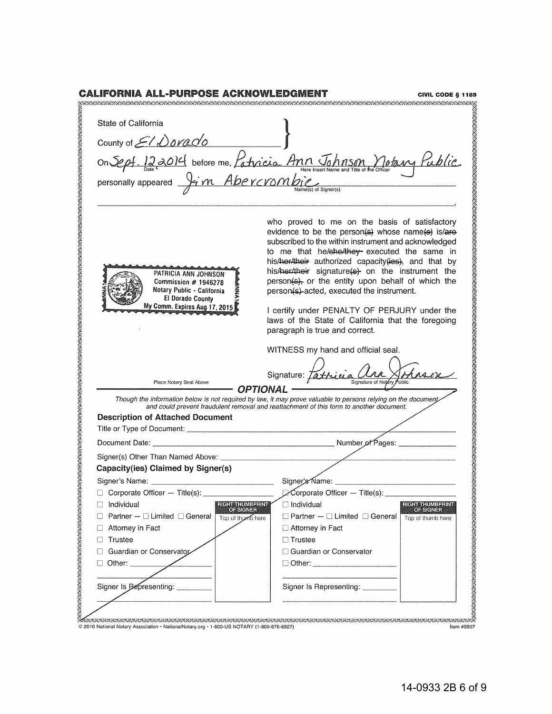| State of California                                                                                                             |                                                                                                                                                                                                                                                                                                                                                                                                                                                                                                                                                                 |
|---------------------------------------------------------------------------------------------------------------------------------|-----------------------------------------------------------------------------------------------------------------------------------------------------------------------------------------------------------------------------------------------------------------------------------------------------------------------------------------------------------------------------------------------------------------------------------------------------------------------------------------------------------------------------------------------------------------|
|                                                                                                                                 |                                                                                                                                                                                                                                                                                                                                                                                                                                                                                                                                                                 |
| County of El Dorado                                                                                                             |                                                                                                                                                                                                                                                                                                                                                                                                                                                                                                                                                                 |
|                                                                                                                                 | on Sept. 122014 before me, Patricia Ann Johnson Motary Public.                                                                                                                                                                                                                                                                                                                                                                                                                                                                                                  |
|                                                                                                                                 |                                                                                                                                                                                                                                                                                                                                                                                                                                                                                                                                                                 |
|                                                                                                                                 |                                                                                                                                                                                                                                                                                                                                                                                                                                                                                                                                                                 |
|                                                                                                                                 |                                                                                                                                                                                                                                                                                                                                                                                                                                                                                                                                                                 |
| PATRICIA ANN JOHNSON<br>Commission # 1946278<br>Notary Public - California<br>El Dorado County<br>My Comm. Expires Aug 17, 2015 | who proved to me on the basis of satisfactory<br>evidence to be the person(s) whose name(s) is/are<br>subscribed to the within instrument and acknowledged<br>to me that he/she/they executed the same in<br>his/her/their authorized capacity (ies), and that by<br>his/her/their signature(s) on the instrument the<br>person(s), or the entity upon behalf of which the<br>person(s)-acted, executed the instrument.<br>I certify under PENALTY OF PERJURY under the<br>laws of the State of California that the foregoing<br>paragraph is true and correct. |
|                                                                                                                                 | WITNESS my hand and official seal.                                                                                                                                                                                                                                                                                                                                                                                                                                                                                                                              |
|                                                                                                                                 |                                                                                                                                                                                                                                                                                                                                                                                                                                                                                                                                                                 |
|                                                                                                                                 | Signature: Tathicia                                                                                                                                                                                                                                                                                                                                                                                                                                                                                                                                             |
| Place Notary Seal Above                                                                                                         | Signature of Notary                                                                                                                                                                                                                                                                                                                                                                                                                                                                                                                                             |
|                                                                                                                                 | <b>OPTIONAL</b><br>Though the information below is not required by law, it may prove valuable to persons relying on the document<br>and could prevent fraudulent removal and reattachment of this form to another document.                                                                                                                                                                                                                                                                                                                                     |
| <b>Description of Attached Document</b>                                                                                         |                                                                                                                                                                                                                                                                                                                                                                                                                                                                                                                                                                 |
|                                                                                                                                 |                                                                                                                                                                                                                                                                                                                                                                                                                                                                                                                                                                 |
|                                                                                                                                 |                                                                                                                                                                                                                                                                                                                                                                                                                                                                                                                                                                 |
|                                                                                                                                 |                                                                                                                                                                                                                                                                                                                                                                                                                                                                                                                                                                 |
| Capacity(ies) Claimed by Signer(s)                                                                                              |                                                                                                                                                                                                                                                                                                                                                                                                                                                                                                                                                                 |
| Signer's Name: _                                                                                                                | Signer's Name:                                                                                                                                                                                                                                                                                                                                                                                                                                                                                                                                                  |
| Corporate Officer - Title(s):                                                                                                   | $\triangleright$ Corporate Officer - Title(s):                                                                                                                                                                                                                                                                                                                                                                                                                                                                                                                  |
| RIGHT THUMBPRINT<br>Individual                                                                                                  | $\Box$ Individual<br><b>RIGHT THUMBERINT</b>                                                                                                                                                                                                                                                                                                                                                                                                                                                                                                                    |
| Partner $-\Box$ Limited $\Box$ General<br>Top of thumb here                                                                     | <b>OF SIGNER</b><br>$\Box$ Partner $-\Box$ Limited $\Box$ General<br>Top of thumb here                                                                                                                                                                                                                                                                                                                                                                                                                                                                          |
| Attorney in Fact<br>□                                                                                                           | Attorney in Fact                                                                                                                                                                                                                                                                                                                                                                                                                                                                                                                                                |
| Trustee<br>0                                                                                                                    | $\Box$ Trustee                                                                                                                                                                                                                                                                                                                                                                                                                                                                                                                                                  |
| Guardian or Conservator<br>П                                                                                                    | Guardian or Conservator                                                                                                                                                                                                                                                                                                                                                                                                                                                                                                                                         |
| $\Box$ Other:                                                                                                                   | □ Other: _________________________                                                                                                                                                                                                                                                                                                                                                                                                                                                                                                                              |
|                                                                                                                                 |                                                                                                                                                                                                                                                                                                                                                                                                                                                                                                                                                                 |
| Signer Is Representing:                                                                                                         | Signer Is Representing: ____                                                                                                                                                                                                                                                                                                                                                                                                                                                                                                                                    |

© 2010 National Notary Association· NationaINotary.org· 1-800-US NOTARY (1-800-876-6827) Item #5907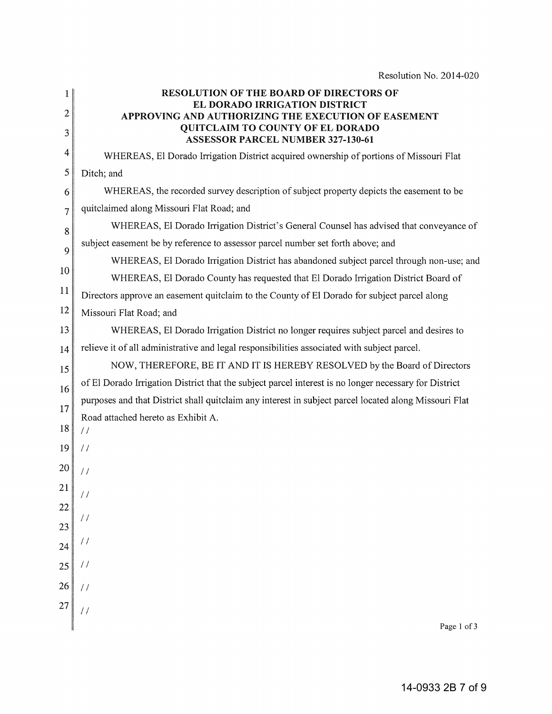| $\mathbf{1}$ | <b>RESOLUTION OF THE BOARD OF DIRECTORS OF</b><br>EL DORADO IRRIGATION DISTRICT                                                     |
|--------------|-------------------------------------------------------------------------------------------------------------------------------------|
| 2<br>3       | APPROVING AND AUTHORIZING THE EXECUTION OF EASEMENT<br>QUITCLAIM TO COUNTY OF EL DORADO<br><b>ASSESSOR PARCEL NUMBER 327-130-61</b> |
| 4            | WHEREAS, El Dorado Irrigation District acquired ownership of portions of Missouri Flat                                              |
| 5            | Ditch; and                                                                                                                          |
| 6            | WHEREAS, the recorded survey description of subject property depicts the easement to be                                             |
| 7            | quitclaimed along Missouri Flat Road; and                                                                                           |
| 8            | WHEREAS, El Dorado Irrigation District's General Counsel has advised that conveyance of                                             |
| 9            | subject easement be by reference to assessor parcel number set forth above; and                                                     |
|              | WHEREAS, El Dorado Irrigation District has abandoned subject parcel through non-use; and                                            |
| 10           | WHEREAS, El Dorado County has requested that El Dorado Irrigation District Board of                                                 |
| 11           | Directors approve an easement quitclaim to the County of El Dorado for subject parcel along                                         |
| 12           | Missouri Flat Road; and                                                                                                             |
| 13           | WHEREAS, El Dorado Irrigation District no longer requires subject parcel and desires to                                             |
| 14           | relieve it of all administrative and legal responsibilities associated with subject parcel.                                         |
| 15           | NOW, THEREFORE, BE IT AND IT IS HEREBY RESOLVED by the Board of Directors                                                           |
| 16           | of El Dorado Irrigation District that the subject parcel interest is no longer necessary for District                               |
| 17           | purposes and that District shall quitclaim any interest in subject parcel located along Missouri Flat                               |
| 18           | Road attached hereto as Exhibit A.                                                                                                  |
|              | $\frac{1}{2}$                                                                                                                       |
| 19           | $\frac{1}{2}$                                                                                                                       |
| 20           | $\frac{1}{2}$                                                                                                                       |
| 21           | $\frac{1}{2}$                                                                                                                       |
| 22           |                                                                                                                                     |
| 23           | $\frac{1}{2}$                                                                                                                       |
| 24           | $\prime\prime$                                                                                                                      |
| 25           | $\frac{1}{2}$                                                                                                                       |
| 26           | $\frac{1}{2}$                                                                                                                       |
| 27           |                                                                                                                                     |
|              | Page 1 of 3                                                                                                                         |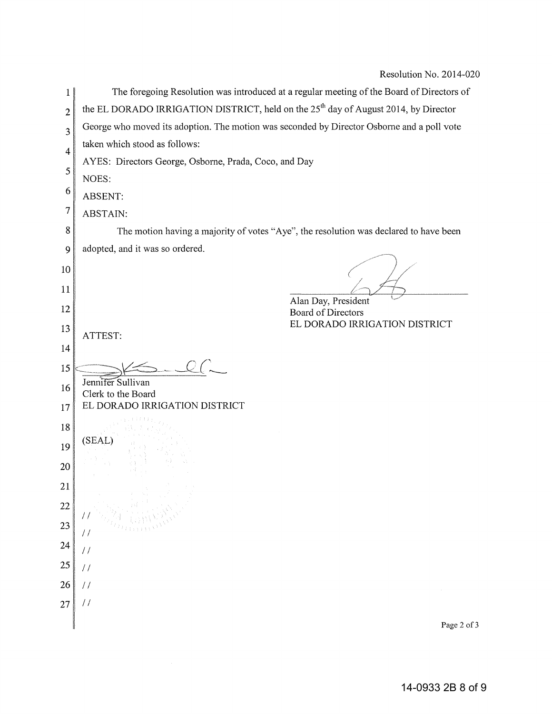| 1              | The foregoing Resolution was introduced at a regular meeting of the Board of Directors of       |
|----------------|-------------------------------------------------------------------------------------------------|
| $\overline{c}$ | the EL DORADO IRRIGATION DISTRICT, held on the 25 <sup>th</sup> day of August 2014, by Director |
| 3              | George who moved its adoption. The motion was seconded by Director Osborne and a poll vote      |
| $\overline{4}$ | taken which stood as follows:                                                                   |
| 5              | AYES: Directors George, Osborne, Prada, Coco, and Day                                           |
|                | NOES:                                                                                           |
| 6              | ABSENT:                                                                                         |
| 7              | <b>ABSTAIN:</b>                                                                                 |
| 8              | The motion having a majority of votes "Aye", the resolution was declared to have been           |
| 9              | adopted, and it was so ordered.                                                                 |
| 10             |                                                                                                 |
| 11             |                                                                                                 |
| 12             | Alan Day, President<br><b>Board of Directors</b>                                                |
| 13             | EL DORADO IRRIGATION DISTRICT                                                                   |
| 14             | ATTEST:                                                                                         |
| 15             |                                                                                                 |
| 16             | Jennifer Sullivan                                                                               |
| 17             | Clerk to the Board<br>EL DORADO IRRIGATION DISTRICT                                             |
|                |                                                                                                 |
| 18             | (SEAL)                                                                                          |
| 19             |                                                                                                 |
| 20             |                                                                                                 |
| 21             |                                                                                                 |
| 22             |                                                                                                 |
| 23             | 77                                                                                              |
| 24             | $\frac{1}{2}$                                                                                   |
| 25             | $\frac{1}{2}$                                                                                   |
| 26             | $\frac{1}{2}$                                                                                   |
| 27             | 77                                                                                              |
|                | Page 2 of 3                                                                                     |
|                |                                                                                                 |